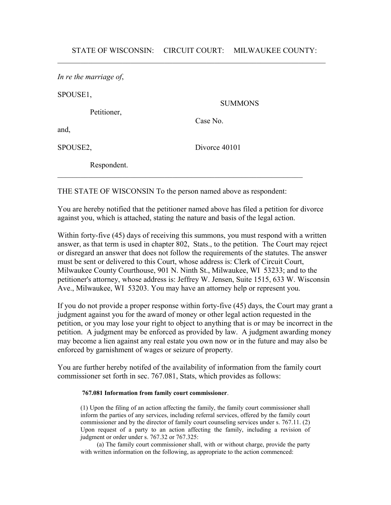| In re the marriage of, |  |
|------------------------|--|
|------------------------|--|

SPOUSE1,

Petitioner,

**SUMMONS** 

Case No.

and,

SPOUSE2, Divorce 40101

Respondent.

THE STATE OF WISCONSIN To the person named above as respondent:

 $\mathcal{L}_\text{max}$  , and the contribution of the contribution of the contribution of the contribution of the contribution of the contribution of the contribution of the contribution of the contribution of the contribution of t

You are hereby notified that the petitioner named above has filed a petition for divorce against you, which is attached, stating the nature and basis of the legal action.

Within forty-five (45) days of receiving this summons, you must respond with a written answer, as that term is used in chapter 802, Stats., to the petition. The Court may reject or disregard an answer that does not follow the requirements of the statutes. The answer must be sent or delivered to this Court, whose address is: Clerk of Circuit Court, Milwaukee County Courthouse, 901 N. Ninth St., Milwaukee, WI 53233; and to the petitioner's attorney, whose address is: Jeffrey W. Jensen, Suite 1515, 633 W. Wisconsin Ave., Milwaukee, WI 53203. You may have an attorney help or represent you.

If you do not provide a proper response within forty-five (45) days, the Court may grant a judgment against you for the award of money or other legal action requested in the petition, or you may lose your right to object to anything that is or may be incorrect in the petition. A judgment may be enforced as provided by law. A judgment awarding money may become a lien against any real estate you own now or in the future and may also be enforced by garnishment of wages or seizure of property.

You are further hereby notifed of the availability of information from the family court commissioner set forth in sec. 767.081, Stats, which provides as follows:

## **767.081 Information from family court commissioner**.

(1) Upon the filing of an action affecting the family, the family court commissioner shall inform the parties of any services, including referral services, offered by the family court commissioner and by the director of family court counseling services under s. 767.11. (2) Upon request of a party to an action affecting the family, including a revision of judgment or order under s. 767.32 or 767.325:

(a) The family court commissioner shall, with or without charge, provide the party with written information on the following, as appropriate to the action commenced: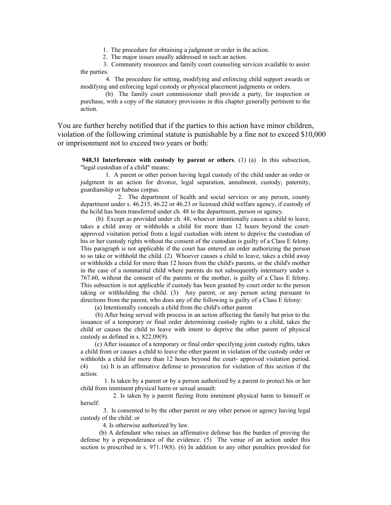1. The procedure for obtaining a judgment or order in the action.

2. The major issues usually addressed in such an action.

 3. Community resources and family court counseling services available to assist the parties.

4. The procedure for setting, modifying and enforcing child support awards or modifying and enforcing legal custody or physical placement judgments or orders.

(b) The family court commissioner shall provide a party, for inspection or purchase, with a copy of the statutory provisions in this chapter generally pertinent to the action.

You are further hereby notified that if the parties to this action have minor children, violation of the following criminal statute is punishable by a fine not to exceed \$10,000 or imprisonment not to exceed two years or both:

**948.31 Interference with custody by parent or others**. (1) (a) In this subsection, "legal custodian of a child" means:

1. A parent or other person having legal custody of the child under an order or judgment in an action for divorce, legal separation, annulment, custody, paternity, guardianship or habeas corpus.

2. The department of health and social services or any person, county department under s. 46.215, 46.22 or 46.23 or licensed child welfare agency, if custody of the hcild has been transferred under ch. 48 to the department, person or agency.

(b) Except as provided under ch. 48, whoever intentionally causes a child to leave, takes a child away or withholds a child for more than 12 hours beyond the courtapproved visitation period from a legal custodian with intent to deprive the custodian of his or her custody rights without the consent of the custodian is guilty of a Class E felony. This paragraph is not applicable if the court has entered an order authorizing the person to so take or withhold the child. (2) Whoever causes a child to leave, takes a child away or withholds a child for more than 12 hours from the child's parents, or the child's mother in the case of a nonmarital child where parents do not subsequently intermarry under s. 767.60, without the consent of the parents or the mother, is guilty of a Class E felony. This subsection is not applicable if custody has been granted by court order to the person taking or withholding the child. (3) Any parent, or any person acting pursuant to directions from the parent, who does any of the following is guilty of a Class E felony:

(a) Intentionally conceals a child from the child's other parent

 (b) After being served with process in an action affecting the family but prior to the issuance of a temporary or final order determining custody rights to a child, takes the child or causes the child to leave with intent to deprive the other parent of physical custody as defined in s. 822.09(9).

 (c) After issuance of a temporary or final order specifying joint custody rights, takes a child from or causes a child to leave the other parent in violation of the custody order or withholds a child for more than 12 hours beyond the court- approved visitation period. (4) (a) It is an affirmative defense to prosecution for violation of this section if the action:

1. Is taken by a parent or by a person authorized by a parent to protect his or her child from imminent physical harm or sexual assault:

2. Is taken by a parent fleeing from imminent physical harm to himself or herself:

 3. Is consented to by the other parent or any other person or agency having legal custody of the child: or

4. Is otherwise authorized by law.

(b) A defendant who raises an affirmative defense has the burden of proving the defense by a preponderance of the evidence. (5) The venue of an action under this section is prescribed in s. 971.19(8). (6) In addition to any other penalties provided for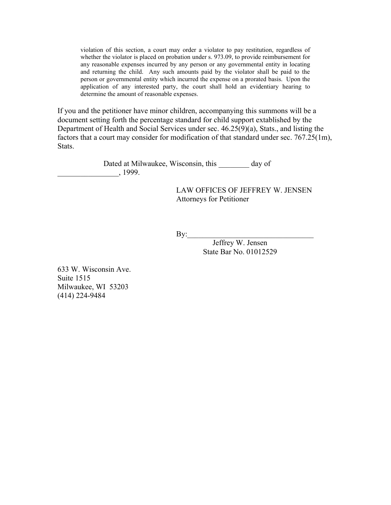violation of this section, a court may order a violator to pay restitution, regardless of whether the violator is placed on probation under s. 973.09, to provide reimbursement for any reasonable expenses incurred by any person or any governmental entity in locating and returning the child. Any such amounts paid by the violator shall be paid to the person or governmental entity which incurred the expense on a prorated basis. Upon the application of any interested party, the court shall hold an evidentiary hearing to determine the amount of reasonable expenses.

If you and the petitioner have minor children, accompanying this summons will be a document setting forth the percentage standard for child support extablished by the Department of Health and Social Services under sec. 46.25(9)(a), Stats., and listing the factors that a court may consider for modification of that standard under sec. 767.25(1m), Stats.

Dated at Milwaukee, Wisconsin, this day of  $\frac{1999}{2}$ 

> LAW OFFICES OF JEFFREY W. JENSEN Attorneys for Petitioner

 $\mathbf{By:}$ 

 Jeffrey W. Jensen State Bar No. 01012529

633 W. Wisconsin Ave. Suite 1515 Milwaukee, WI 53203 (414) 224-9484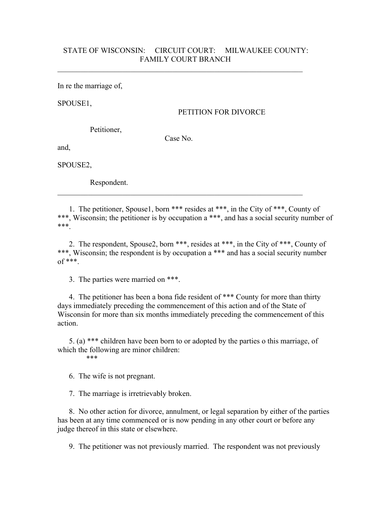## STATE OF WISCONSIN: CIRCUIT COURT: MILWAUKEE COUNTY: FAMILY COURT BRANCH

 $\mathcal{L}_\text{max}$  , and the contribution of the contribution of the contribution of the contribution of the contribution of the contribution of the contribution of the contribution of the contribution of the contribution of t

In re the marriage of,

SPOUSE1,

## PETITION FOR DIVORCE

Petitioner,

Case No.

 $\mathcal{L}_\text{max} = \frac{1}{2} \sum_{i=1}^n \mathcal{L}_\text{max}(\mathbf{z}_i - \mathbf{z}_i)$ 

and,

SPOUSE2,

Respondent.

 1. The petitioner, Spouse1, born \*\*\* resides at \*\*\*, in the City of \*\*\*, County of \*\*\*, Wisconsin; the petitioner is by occupation a \*\*\*, and has a social security number of \*\*\*.

 2. The respondent, Spouse2, born \*\*\*, resides at \*\*\*, in the City of \*\*\*, County of \*\*\*, Wisconsin; the respondent is by occupation a \*\*\* and has a social security number of \*\*\*.

3. The parties were married on \*\*\*.

 4. The petitioner has been a bona fide resident of \*\*\* County for more than thirty days immediately preceding the commencement of this action and of the State of Wisconsin for more than six months immediately preceding the commencement of this action.

 5. (a) \*\*\* children have been born to or adopted by the parties o this marriage, of which the following are minor children:

\*\*\*

6. The wife is not pregnant.

7. The marriage is irretrievably broken.

 8. No other action for divorce, annulment, or legal separation by either of the parties has been at any time commenced or is now pending in any other court or before any judge thereof in this state or elsewhere.

9. The petitioner was not previously married. The respondent was not previously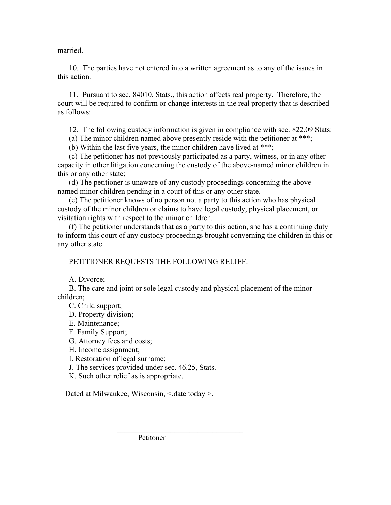married.

 10. The parties have not entered into a written agreement as to any of the issues in this action.

 11. Pursuant to sec. 84010, Stats., this action affects real property. Therefore, the court will be required to confirm or change interests in the real property that is described as follows:

12. The following custody information is given in compliance with sec. 822.09 Stats:

(a) The minor children named above presently reside with the petitioner at \*\*\*;

(b) Within the last five years, the minor children have lived at \*\*\*;

 (c) The petitioner has not previously participated as a party, witness, or in any other capacity in other litigation concerning the custody of the above-named minor children in this or any other state;

 (d) The petitioner is unaware of any custody proceedings concerning the abovenamed minor children pending in a court of this or any other state.

 (e) The petitioner knows of no person not a party to this action who has physical custody of the minor children or claims to have legal custody, physical placement, or visitation rights with respect to the minor children.

 (f) The petitioner understands that as a party to this action, she has a continuing duty to inform this court of any custody proceedings brought converning the children in this or any other state.

PETITIONER REQUESTS THE FOLLOWING RELIEF:

A. Divorce;

 B. The care and joint or sole legal custody and physical placement of the minor children;

C. Child support;

D. Property division;

E. Maintenance;

F. Family Support;

G. Attorney fees and costs;

H. Income assignment;

I. Restoration of legal surname;

J. The services provided under sec. 46.25, Stats.

K. Such other relief as is appropriate.

Dated at Milwaukee, Wisconsin, < date today >.

 $\mathcal{L}_\text{max}$  and  $\mathcal{L}_\text{max}$  and  $\mathcal{L}_\text{max}$  and  $\mathcal{L}_\text{max}$  and  $\mathcal{L}_\text{max}$ Petitoner